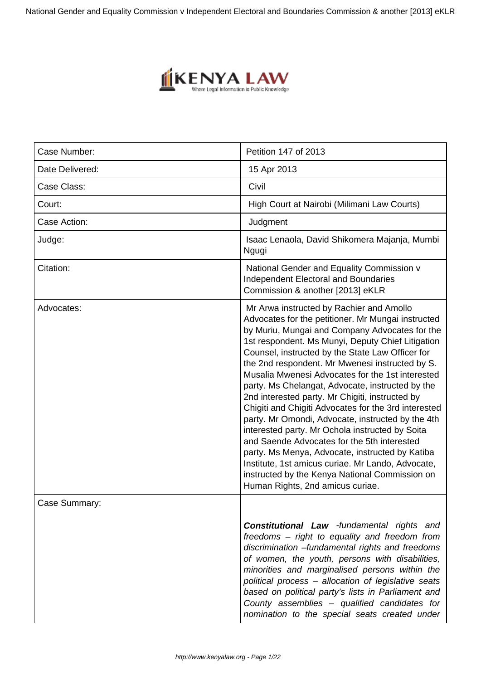National Gender and Equality Commission v Independent Electoral and Boundaries Commission & another [2013] eKLR



| Case Number:    | Petition 147 of 2013                                                                                                                                                                                                                                                                                                                                                                                                                                                                                                                                                                                                                                                                                                                                                                                                                                                                 |
|-----------------|--------------------------------------------------------------------------------------------------------------------------------------------------------------------------------------------------------------------------------------------------------------------------------------------------------------------------------------------------------------------------------------------------------------------------------------------------------------------------------------------------------------------------------------------------------------------------------------------------------------------------------------------------------------------------------------------------------------------------------------------------------------------------------------------------------------------------------------------------------------------------------------|
| Date Delivered: | 15 Apr 2013                                                                                                                                                                                                                                                                                                                                                                                                                                                                                                                                                                                                                                                                                                                                                                                                                                                                          |
| Case Class:     | Civil                                                                                                                                                                                                                                                                                                                                                                                                                                                                                                                                                                                                                                                                                                                                                                                                                                                                                |
| Court:          | High Court at Nairobi (Milimani Law Courts)                                                                                                                                                                                                                                                                                                                                                                                                                                                                                                                                                                                                                                                                                                                                                                                                                                          |
| Case Action:    | Judgment                                                                                                                                                                                                                                                                                                                                                                                                                                                                                                                                                                                                                                                                                                                                                                                                                                                                             |
| Judge:          | Isaac Lenaola, David Shikomera Majanja, Mumbi<br>Ngugi                                                                                                                                                                                                                                                                                                                                                                                                                                                                                                                                                                                                                                                                                                                                                                                                                               |
| Citation:       | National Gender and Equality Commission v<br><b>Independent Electoral and Boundaries</b><br>Commission & another [2013] eKLR                                                                                                                                                                                                                                                                                                                                                                                                                                                                                                                                                                                                                                                                                                                                                         |
| Advocates:      | Mr Arwa instructed by Rachier and Amollo<br>Advocates for the petitioner. Mr Mungai instructed<br>by Muriu, Mungai and Company Advocates for the<br>1st respondent. Ms Munyi, Deputy Chief Litigation<br>Counsel, instructed by the State Law Officer for<br>the 2nd respondent. Mr Mwenesi instructed by S.<br>Musalia Mwenesi Advocates for the 1st interested<br>party. Ms Chelangat, Advocate, instructed by the<br>2nd interested party. Mr Chigiti, instructed by<br>Chigiti and Chigiti Advocates for the 3rd interested<br>party. Mr Omondi, Advocate, instructed by the 4th<br>interested party. Mr Ochola instructed by Soita<br>and Saende Advocates for the 5th interested<br>party. Ms Menya, Advocate, instructed by Katiba<br>Institute, 1st amicus curiae. Mr Lando, Advocate,<br>instructed by the Kenya National Commission on<br>Human Rights, 2nd amicus curiae. |
| Case Summary:   |                                                                                                                                                                                                                                                                                                                                                                                                                                                                                                                                                                                                                                                                                                                                                                                                                                                                                      |
|                 | <b>Constitutional Law</b> -fundamental rights and<br>freedoms – right to equality and freedom from<br>discrimination -fundamental rights and freedoms<br>of women, the youth, persons with disabilities,<br>minorities and marginalised persons within the<br>political process - allocation of legislative seats<br>based on political party's lists in Parliament and<br>County assemblies - qualified candidates for<br>nomination to the special seats created under                                                                                                                                                                                                                                                                                                                                                                                                             |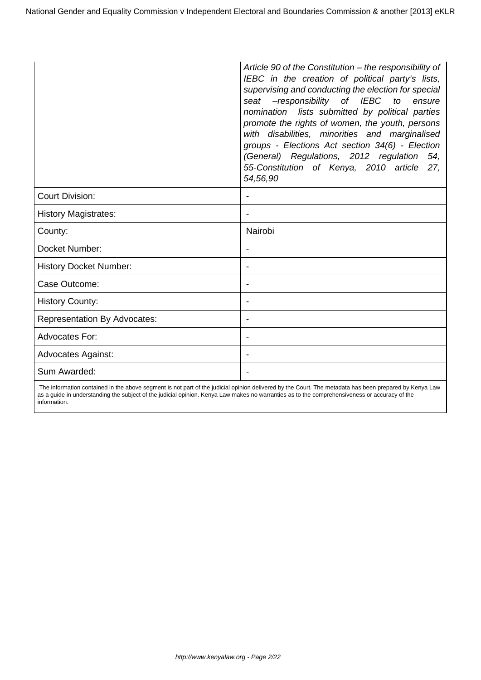|                                     | Article 90 of the Constitution - the responsibility of<br>IEBC in the creation of political party's lists,<br>supervising and conducting the election for special<br>-responsibility of IEBC<br>seat<br>to<br>ensure<br>nomination lists submitted by political parties<br>promote the rights of women, the youth, persons<br>with disabilities, minorities and marginalised<br>groups - Elections Act section 34(6) - Election<br>(General) Regulations, 2012 regulation 54,<br>55-Constitution of Kenya, 2010 article 27,<br>54,56,90 |
|-------------------------------------|-----------------------------------------------------------------------------------------------------------------------------------------------------------------------------------------------------------------------------------------------------------------------------------------------------------------------------------------------------------------------------------------------------------------------------------------------------------------------------------------------------------------------------------------|
| <b>Court Division:</b>              |                                                                                                                                                                                                                                                                                                                                                                                                                                                                                                                                         |
| <b>History Magistrates:</b>         |                                                                                                                                                                                                                                                                                                                                                                                                                                                                                                                                         |
| County:                             | Nairobi                                                                                                                                                                                                                                                                                                                                                                                                                                                                                                                                 |
| Docket Number:                      |                                                                                                                                                                                                                                                                                                                                                                                                                                                                                                                                         |
| <b>History Docket Number:</b>       |                                                                                                                                                                                                                                                                                                                                                                                                                                                                                                                                         |
| Case Outcome:                       |                                                                                                                                                                                                                                                                                                                                                                                                                                                                                                                                         |
| <b>History County:</b>              |                                                                                                                                                                                                                                                                                                                                                                                                                                                                                                                                         |
| <b>Representation By Advocates:</b> |                                                                                                                                                                                                                                                                                                                                                                                                                                                                                                                                         |
| <b>Advocates For:</b>               | $\overline{\phantom{0}}$                                                                                                                                                                                                                                                                                                                                                                                                                                                                                                                |
| <b>Advocates Against:</b>           |                                                                                                                                                                                                                                                                                                                                                                                                                                                                                                                                         |
| Sum Awarded:                        |                                                                                                                                                                                                                                                                                                                                                                                                                                                                                                                                         |

 The information contained in the above segment is not part of the judicial opinion delivered by the Court. The metadata has been prepared by Kenya Law as a guide in understanding the subject of the judicial opinion. Kenya Law makes no warranties as to the comprehensiveness or accuracy of the information.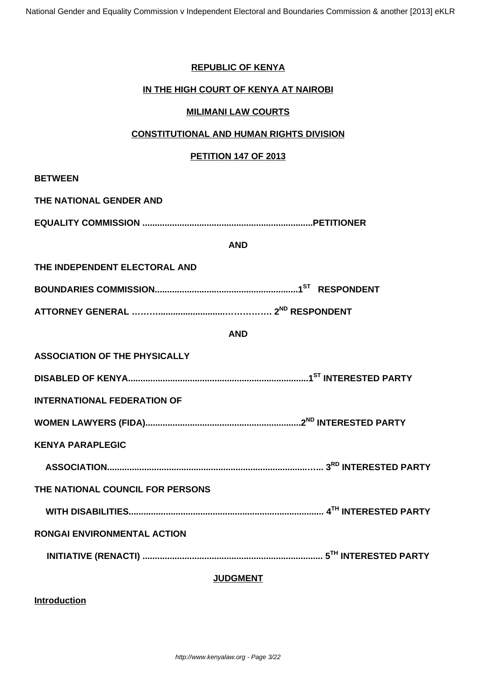## **REPUBLIC OF KENYA**

## **IN THE HIGH COURT OF KENYA AT NAIROBI**

## **MILIMANI LAW COURTS**

#### **CONSTITUTIONAL AND HUMAN RIGHTS DIVISION**

#### **PETITION 147 OF 2013**

| <b>BETWEEN</b>                       |            |  |
|--------------------------------------|------------|--|
| THE NATIONAL GENDER AND              |            |  |
|                                      |            |  |
|                                      | <b>AND</b> |  |
| THE INDEPENDENT ELECTORAL AND        |            |  |
|                                      |            |  |
|                                      |            |  |
|                                      | <b>AND</b> |  |
| <b>ASSOCIATION OF THE PHYSICALLY</b> |            |  |
|                                      |            |  |
| <b>INTERNATIONAL FEDERATION OF</b>   |            |  |
|                                      |            |  |
| <b>KENYA PARAPLEGIC</b>              |            |  |
|                                      |            |  |
| THE NATIONAL COUNCIL FOR PERSONS     |            |  |
|                                      |            |  |
| RONGAI ENVIRONMENTAL ACTION          |            |  |
|                                      |            |  |
| <b>JUDGMENT</b>                      |            |  |

**Introduction**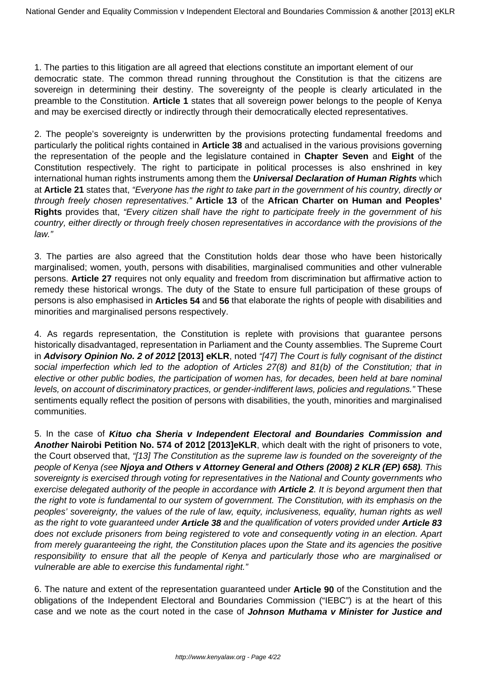1. The parties to this litigation are all agreed that elections constitute an important element of our democratic state. The common thread running throughout the Constitution is that the citizens are sovereign in determining their destiny. The sovereignty of the people is clearly articulated in the preamble to the Constitution. **Article 1** states that all sovereign power belongs to the people of Kenya and may be exercised directly or indirectly through their democratically elected representatives.

2. The people's sovereignty is underwritten by the provisions protecting fundamental freedoms and particularly the political rights contained in **Article 38** and actualised in the various provisions governing the representation of the people and the legislature contained in **Chapter Seven** and **Eight** of the Constitution respectively. The right to participate in political processes is also enshrined in key international human rights instruments among them the **Universal Declaration of Human Rights** which at **Article 21** states that, "Everyone has the right to take part in the government of his country, directly or through freely chosen representatives." **Article 13** of the **African Charter on Human and Peoples' Rights** provides that, "Every citizen shall have the right to participate freely in the government of his country, either directly or through freely chosen representatives in accordance with the provisions of the law."

3. The parties are also agreed that the Constitution holds dear those who have been historically marginalised; women, youth, persons with disabilities, marginalised communities and other vulnerable persons. **Article 27** requires not only equality and freedom from discrimination but affirmative action to remedy these historical wrongs. The duty of the State to ensure full participation of these groups of persons is also emphasised in **Articles 54** and **56** that elaborate the rights of people with disabilities and minorities and marginalised persons respectively.

4. As regards representation, the Constitution is replete with provisions that guarantee persons historically disadvantaged, representation in Parliament and the County assemblies. The Supreme Court in **Advisory Opinion No. 2 of 2012 [2013] eKLR**, noted "[47] The Court is fully cognisant of the distinct social imperfection which led to the adoption of Articles 27(8) and 81(b) of the Constitution; that in elective or other public bodies, the participation of women has, for decades, been held at bare nominal levels, on account of discriminatory practices, or gender-indifferent laws, policies and regulations." These sentiments equally reflect the position of persons with disabilities, the youth, minorities and marginalised communities.

5. In the case of **Kituo cha Sheria v Independent Electoral and Boundaries Commission and Another Nairobi Petition No. 574 of 2012 [2013]eKLR**, which dealt with the right of prisoners to vote, the Court observed that, "[13] The Constitution as the supreme law is founded on the sovereignty of the people of Kenya (see **Njoya and Others v Attorney General and Others (2008) 2 KLR (EP) 658)**. This sovereignty is exercised through voting for representatives in the National and County governments who exercise delegated authority of the people in accordance with **Article 2**. It is beyond argument then that the right to vote is fundamental to our system of government. The Constitution, with its emphasis on the peoples' sovereignty, the values of the rule of law, equity, inclusiveness, equality, human rights as well as the right to vote guaranteed under **Article 38** and the qualification of voters provided under **Article 83** does not exclude prisoners from being registered to vote and consequently voting in an election. Apart from merely guaranteeing the right, the Constitution places upon the State and its agencies the positive responsibility to ensure that all the people of Kenya and particularly those who are marginalised or vulnerable are able to exercise this fundamental right."

6. The nature and extent of the representation guaranteed under **Article 90** of the Constitution and the obligations of the Independent Electoral and Boundaries Commission ("IEBC") is at the heart of this case and we note as the court noted in the case of **Johnson Muthama v Minister for Justice and**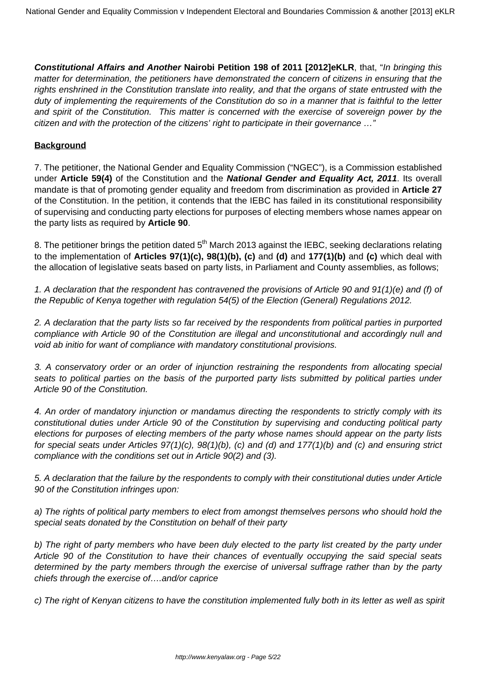**Constitutional Affairs and Another Nairobi Petition 198 of 2011 [2012]eKLR**, that, "In bringing this matter for determination, the petitioners have demonstrated the concern of citizens in ensuring that the rights enshrined in the Constitution translate into reality, and that the organs of state entrusted with the duty of implementing the requirements of the Constitution do so in a manner that is faithful to the letter and spirit of the Constitution. This matter is concerned with the exercise of sovereign power by the citizen and with the protection of the citizens' right to participate in their governance …"

#### **Background**

7. The petitioner, the National Gender and Equality Commission ("NGEC"), is a Commission established under **Article 59(4)** of the Constitution and the **National Gender and Equality Act, 2011**. Its overall mandate is that of promoting gender equality and freedom from discrimination as provided in **Article 27** of the Constitution. In the petition, it contends that the IEBC has failed in its constitutional responsibility of supervising and conducting party elections for purposes of electing members whose names appear on the party lists as required by **Article 90**.

8. The petitioner brings the petition dated 5<sup>th</sup> March 2013 against the IEBC, seeking declarations relating to the implementation of **Articles 97(1)(c), 98(1)(b), (c)** and **(d)** and **177(1)(b)** and **(c)** which deal with the allocation of legislative seats based on party lists, in Parliament and County assemblies, as follows;

1. A declaration that the respondent has contravened the provisions of Article 90 and  $91(1)(e)$  and (f) of the Republic of Kenya together with regulation 54(5) of the Election (General) Regulations 2012.

2. A declaration that the party lists so far received by the respondents from political parties in purported compliance with Article 90 of the Constitution are illegal and unconstitutional and accordingly null and void ab initio for want of compliance with mandatory constitutional provisions.

3. A conservatory order or an order of injunction restraining the respondents from allocating special seats to political parties on the basis of the purported party lists submitted by political parties under Article 90 of the Constitution.

4. An order of mandatory injunction or mandamus directing the respondents to strictly comply with its constitutional duties under Article 90 of the Constitution by supervising and conducting political party elections for purposes of electing members of the party whose names should appear on the party lists for special seats under Articles 97(1)(c), 98(1)(b), (c) and (d) and 177(1)(b) and (c) and ensuring strict compliance with the conditions set out in Article 90(2) and (3).

5. A declaration that the failure by the respondents to comply with their constitutional duties under Article 90 of the Constitution infringes upon:

a) The rights of political party members to elect from amongst themselves persons who should hold the special seats donated by the Constitution on behalf of their party

b) The right of party members who have been duly elected to the party list created by the party under Article 90 of the Constitution to have their chances of eventually occupying the said special seats determined by the party members through the exercise of universal suffrage rather than by the party chiefs through the exercise of….and/or caprice

c) The right of Kenyan citizens to have the constitution implemented fully both in its letter as well as spirit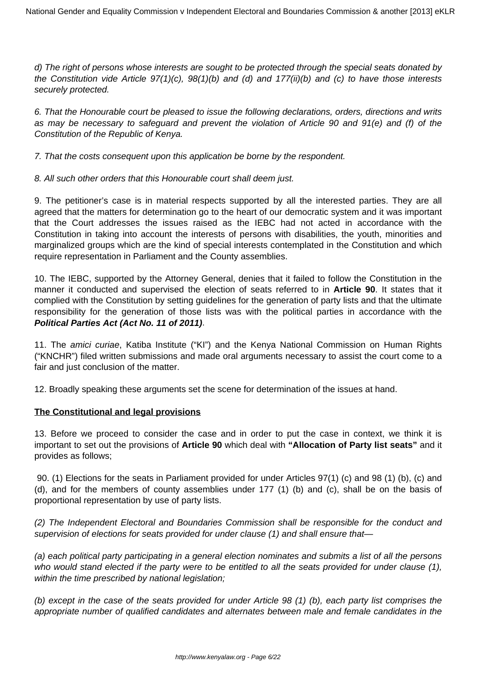d) The right of persons whose interests are sought to be protected through the special seats donated by the Constitution vide Article 97(1)(c), 98(1)(b) and (d) and 177(ii)(b) and (c) to have those interests securely protected.

6. That the Honourable court be pleased to issue the following declarations, orders, directions and writs as may be necessary to safeguard and prevent the violation of Article 90 and 91(e) and (f) of the Constitution of the Republic of Kenya.

7. That the costs consequent upon this application be borne by the respondent.

8. All such other orders that this Honourable court shall deem just.

9. The petitioner's case is in material respects supported by all the interested parties. They are all agreed that the matters for determination go to the heart of our democratic system and it was important that the Court addresses the issues raised as the IEBC had not acted in accordance with the Constitution in taking into account the interests of persons with disabilities, the youth, minorities and marginalized groups which are the kind of special interests contemplated in the Constitution and which require representation in Parliament and the County assemblies.

10. The IEBC, supported by the Attorney General, denies that it failed to follow the Constitution in the manner it conducted and supervised the election of seats referred to in **Article 90**. It states that it complied with the Constitution by setting guidelines for the generation of party lists and that the ultimate responsibility for the generation of those lists was with the political parties in accordance with the **Political Parties Act (Act No. 11 of 2011)**.

11. The amici curiae, Katiba Institute ("KI") and the Kenya National Commission on Human Rights ("KNCHR") filed written submissions and made oral arguments necessary to assist the court come to a fair and just conclusion of the matter.

12. Broadly speaking these arguments set the scene for determination of the issues at hand.

## **The Constitutional and legal provisions**

13. Before we proceed to consider the case and in order to put the case in context, we think it is important to set out the provisions of **Article 90** which deal with **"Allocation of Party list seats"** and it provides as follows;

90. (1) Elections for the seats in Parliament provided for under Articles 97(1) (c) and 98 (1) (b), (c) and (d), and for the members of county assemblies under 177 (1) (b) and (c), shall be on the basis of proportional representation by use of party lists.

(2) The Independent Electoral and Boundaries Commission shall be responsible for the conduct and supervision of elections for seats provided for under clause (1) and shall ensure that-

(a) each political party participating in a general election nominates and submits a list of all the persons who would stand elected if the party were to be entitled to all the seats provided for under clause (1), within the time prescribed by national legislation;

(b) except in the case of the seats provided for under Article 98 (1) (b), each party list comprises the appropriate number of qualified candidates and alternates between male and female candidates in the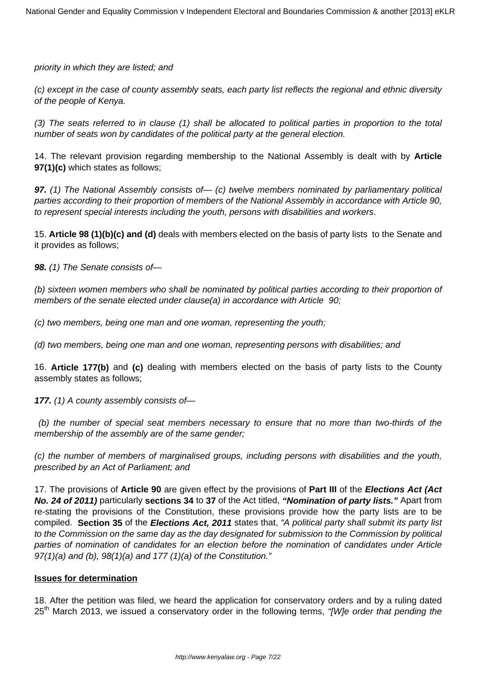priority in which they are listed; and

(c) except in the case of county assembly seats, each party list reflects the regional and ethnic diversity of the people of Kenya.

(3) The seats referred to in clause (1) shall be allocated to political parties in proportion to the total number of seats won by candidates of the political party at the general election.

14. The relevant provision regarding membership to the National Assembly is dealt with by **Article 97(1)(c)** which states as follows;

**97.** (1) The National Assembly consists of  $-$  (c) twelve members nominated by parliamentary political parties according to their proportion of members of the National Assembly in accordance with Article 90, to represent special interests including the youth, persons with disabilities and workers.

15. **Article 98 (1)(b)(c) and (d)** deals with members elected on the basis of party lists to the Senate and it provides as follows;

**98.** (1) The Senate consists of—

(b) sixteen women members who shall be nominated by political parties according to their proportion of members of the senate elected under clause(a) in accordance with Article 90;

(c) two members, being one man and one woman, representing the youth;

(d) two members, being one man and one woman, representing persons with disabilities; and

16. **Article 177(b)** and **(c)** dealing with members elected on the basis of party lists to the County assembly states as follows;

**177.** (1) A county assembly consists of—

(b) the number of special seat members necessary to ensure that no more than two-thirds of the membership of the assembly are of the same gender;

(c) the number of members of marginalised groups, including persons with disabilities and the youth, prescribed by an Act of Parliament; and

17. The provisions of **Article 90** are given effect by the provisions of **Part III** of the **Elections Act (Act No. 24 of 2011)** particularly **sections 34** to **37** of the Act titled, **"Nomination of party lists."** Apart from re-stating the provisions of the Constitution, these provisions provide how the party lists are to be compiled. **Section 35** of the **Elections Act, 2011** states that, "A political party shall submit its party list to the Commission on the same day as the day designated for submission to the Commission by political parties of nomination of candidates for an election before the nomination of candidates under Article 97(1)(a) and (b), 98(1)(a) and 177 (1)(a) of the Constitution."

## **Issues for determination**

18. After the petition was filed, we heard the application for conservatory orders and by a ruling dated  $25<sup>th</sup>$  March 2013, we issued a conservatory order in the following terms, "[W]e order that pending the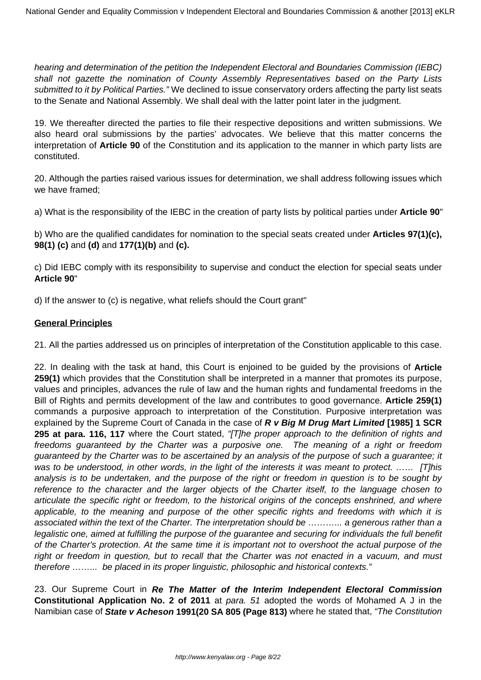hearing and determination of the petition the Independent Electoral and Boundaries Commission (IEBC) shall not gazette the nomination of County Assembly Representatives based on the Party Lists submitted to it by Political Parties." We declined to issue conservatory orders affecting the party list seats to the Senate and National Assembly. We shall deal with the latter point later in the judgment.

19. We thereafter directed the parties to file their respective depositions and written submissions. We also heard oral submissions by the parties' advocates. We believe that this matter concerns the interpretation of **Article 90** of the Constitution and its application to the manner in which party lists are constituted.

20. Although the parties raised various issues for determination, we shall address following issues which we have framed;

a) What is the responsibility of the IEBC in the creation of party lists by political parties under **Article 90**"

b) Who are the qualified candidates for nomination to the special seats created under **Articles 97(1)(c), 98(1) (c)** and **(d)** and **177(1)(b)** and **(c).**

c) Did IEBC comply with its responsibility to supervise and conduct the election for special seats under **Article 90**"

d) If the answer to (c) is negative, what reliefs should the Court grant"

## **General Principles**

21. All the parties addressed us on principles of interpretation of the Constitution applicable to this case.

22. In dealing with the task at hand, this Court is enjoined to be guided by the provisions of **Article 259(1)** which provides that the Constitution shall be interpreted in a manner that promotes its purpose, values and principles, advances the rule of law and the human rights and fundamental freedoms in the Bill of Rights and permits development of the law and contributes to good governance. **Article 259(1)** commands a purposive approach to interpretation of the Constitution. Purposive interpretation was explained by the Supreme Court of Canada in the case of **R v Big M Drug Mart Limited [1985] 1 SCR** 295 at para. 116, 117 where the Court stated, "[T]he proper approach to the definition of rights and freedoms guaranteed by the Charter was a purposive one. The meaning of a right or freedom guaranteed by the Charter was to be ascertained by an analysis of the purpose of such a guarantee; it was to be understood, in other words, in the light of the interests it was meant to protect. ...... [T]his analysis is to be undertaken, and the purpose of the right or freedom in question is to be sought by reference to the character and the larger objects of the Charter itself, to the language chosen to articulate the specific right or freedom, to the historical origins of the concepts enshrined, and where applicable, to the meaning and purpose of the other specific rights and freedoms with which it is associated within the text of the Charter. The interpretation should be ………... a generous rather than a legalistic one, aimed at fulfilling the purpose of the guarantee and securing for individuals the full benefit of the Charter's protection. At the same time it is important not to overshoot the actual purpose of the right or freedom in question, but to recall that the Charter was not enacted in a vacuum, and must therefore ……... be placed in its proper linguistic, philosophic and historical contexts."

23. Our Supreme Court in **Re The Matter of the Interim Independent Electoral Commission Constitutional Application No. 2 of 2011** at para. 51 adopted the words of Mohamed A J in the Namibian case of **State v Acheson 1991(20 SA 805 (Page 813)** where he stated that, "The Constitution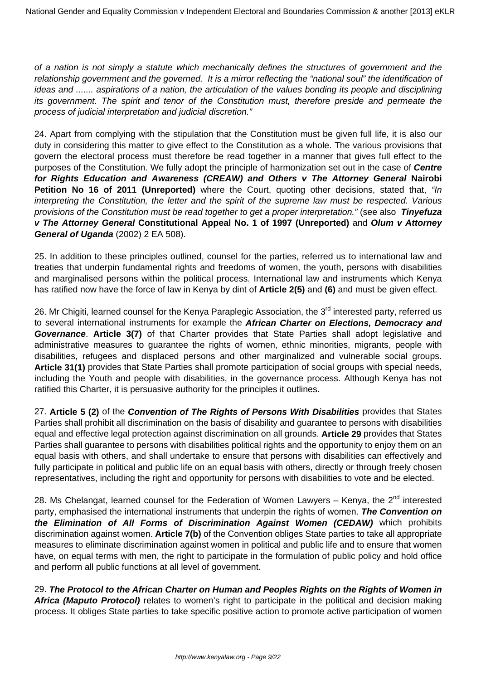of a nation is not simply a statute which mechanically defines the structures of government and the relationship government and the governed. It is a mirror reflecting the "national soul" the identification of ideas and ....... aspirations of a nation, the articulation of the values bonding its people and disciplining its government. The spirit and tenor of the Constitution must, therefore preside and permeate the process of judicial interpretation and judicial discretion."

24. Apart from complying with the stipulation that the Constitution must be given full life, it is also our duty in considering this matter to give effect to the Constitution as a whole. The various provisions that govern the electoral process must therefore be read together in a manner that gives full effect to the purposes of the Constitution. We fully adopt the principle of harmonization set out in the case of **Centre for Rights Education and Awareness (CREAW) and Others v The Attorney General Nairobi Petition No 16 of 2011 (Unreported)** where the Court, quoting other decisions, stated that, "In interpreting the Constitution, the letter and the spirit of the supreme law must be respected. Various provisions of the Constitution must be read together to get a proper interpretation." (see also **Tinyefuza v The Attorney General Constitutional Appeal No. 1 of 1997 (Unreported)** and **Olum v Attorney General of Uganda** (2002) 2 EA 508).

25. In addition to these principles outlined, counsel for the parties, referred us to international law and treaties that underpin fundamental rights and freedoms of women, the youth, persons with disabilities and marginalised persons within the political process. International law and instruments which Kenya has ratified now have the force of law in Kenya by dint of **Article 2(5)** and **(6)** and must be given effect.

26. Mr Chigiti, learned counsel for the Kenya Paraplegic Association, the 3<sup>rd</sup> interested party, referred us to several international instruments for example the **African Charter on Elections, Democracy and Governance**. **Article 3(7)** of that Charter provides that State Parties shall adopt legislative and administrative measures to guarantee the rights of women, ethnic minorities, migrants, people with disabilities, refugees and displaced persons and other marginalized and vulnerable social groups. **Article 31(1)** provides that State Parties shall promote participation of social groups with special needs, including the Youth and people with disabilities, in the governance process. Although Kenya has not ratified this Charter, it is persuasive authority for the principles it outlines.

27. **Article 5 (2)** of the **Convention of The Rights of Persons With Disabilities** provides that States Parties shall prohibit all discrimination on the basis of disability and guarantee to persons with disabilities equal and effective legal protection against discrimination on all grounds. **Article 29** provides that States Parties shall guarantee to persons with disabilities political rights and the opportunity to enjoy them on an equal basis with others, and shall undertake to ensure that persons with disabilities can effectively and fully participate in political and public life on an equal basis with others, directly or through freely chosen representatives, including the right and opportunity for persons with disabilities to vote and be elected.

28. Ms Chelangat, learned counsel for the Federation of Women Lawyers - Kenya, the 2<sup>nd</sup> interested party, emphasised the international instruments that underpin the rights of women. **The Convention on the Elimination of All Forms of Discrimination Against Women (CEDAW)** which prohibits discrimination against women. **Article 7(b)** of the Convention obliges State parties to take all appropriate measures to eliminate discrimination against women in political and public life and to ensure that women have, on equal terms with men, the right to participate in the formulation of public policy and hold office and perform all public functions at all level of government.

29. **The Protocol to the African Charter on Human and Peoples Rights on the Rights of Women in Africa (Maputo Protocol)** relates to women's right to participate in the political and decision making process. It obliges State parties to take specific positive action to promote active participation of women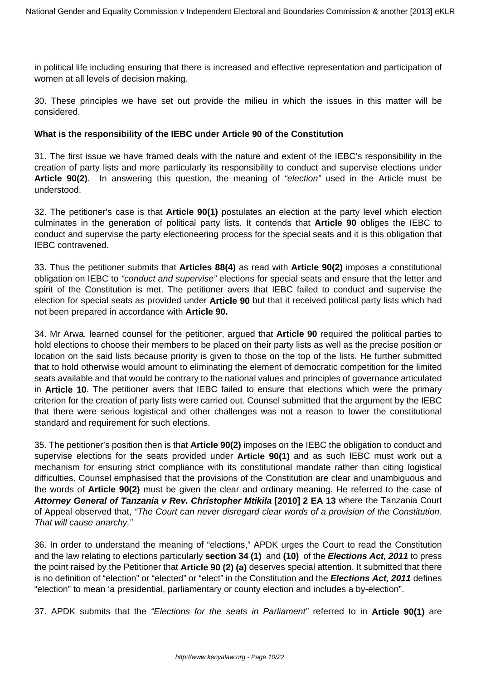in political life including ensuring that there is increased and effective representation and participation of women at all levels of decision making.

30. These principles we have set out provide the milieu in which the issues in this matter will be considered.

## **What is the responsibility of the IEBC under Article 90 of the Constitution**

31. The first issue we have framed deals with the nature and extent of the IEBC's responsibility in the creation of party lists and more particularly its responsibility to conduct and supervise elections under **Article 90(2)**. In answering this question, the meaning of "election" used in the Article must be understood.

32. The petitioner's case is that **Article 90(1)** postulates an election at the party level which election culminates in the generation of political party lists. It contends that **Article 90** obliges the IEBC to conduct and supervise the party electioneering process for the special seats and it is this obligation that IEBC contravened.

33. Thus the petitioner submits that **Articles 88(4)** as read with **Article 90(2)** imposes a constitutional obligation on IEBC to "conduct and supervise" elections for special seats and ensure that the letter and spirit of the Constitution is met. The petitioner avers that IEBC failed to conduct and supervise the election for special seats as provided under **Article 90** but that it received political party lists which had not been prepared in accordance with **Article 90.**

34. Mr Arwa, learned counsel for the petitioner, argued that **Article 90** required the political parties to hold elections to choose their members to be placed on their party lists as well as the precise position or location on the said lists because priority is given to those on the top of the lists. He further submitted that to hold otherwise would amount to eliminating the element of democratic competition for the limited seats available and that would be contrary to the national values and principles of governance articulated in **Article 10**. The petitioner avers that IEBC failed to ensure that elections which were the primary criterion for the creation of party lists were carried out. Counsel submitted that the argument by the IEBC that there were serious logistical and other challenges was not a reason to lower the constitutional standard and requirement for such elections.

35. The petitioner's position then is that **Article 90(2)** imposes on the IEBC the obligation to conduct and supervise elections for the seats provided under **Article 90(1)** and as such IEBC must work out a mechanism for ensuring strict compliance with its constitutional mandate rather than citing logistical difficulties. Counsel emphasised that the provisions of the Constitution are clear and unambiguous and the words of **Article 90(2)** must be given the clear and ordinary meaning. He referred to the case of **Attorney General of Tanzania v Rev. Christopher Mtikila [2010] 2 EA 13** where the Tanzania Court of Appeal observed that, "The Court can never disregard clear words of a provision of the Constitution. That will cause anarchy."

36. In order to understand the meaning of "elections," APDK urges the Court to read the Constitution and the law relating to elections particularly **section 34 (1)** and **(10)** of the **Elections Act, 2011** to press the point raised by the Petitioner that **Article 90 (2) (a)** deserves special attention. It submitted that there is no definition of "election" or "elected" or "elect" in the Constitution and the **Elections Act, 2011** defines "election" to mean 'a presidential, parliamentary or county election and includes a by-election".

37. APDK submits that the "Elections for the seats in Parliament" referred to in **Article 90(1)** are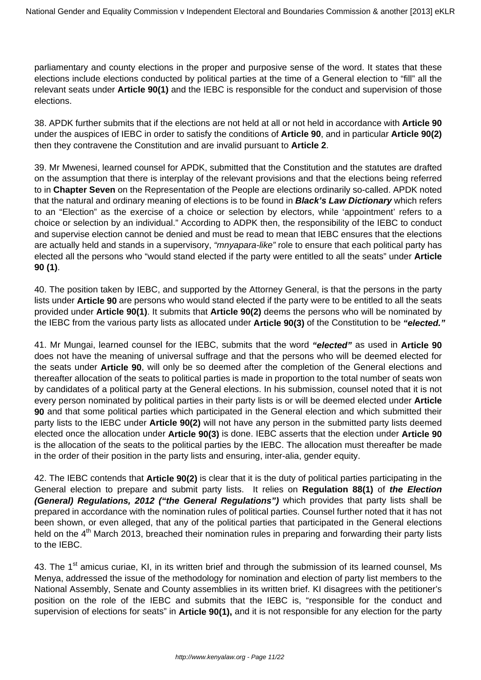parliamentary and county elections in the proper and purposive sense of the word. It states that these elections include elections conducted by political parties at the time of a General election to "fill" all the relevant seats under **Article 90(1)** and the IEBC is responsible for the conduct and supervision of those elections.

38. APDK further submits that if the elections are not held at all or not held in accordance with **Article 90** under the auspices of IEBC in order to satisfy the conditions of **Article 90**, and in particular **Article 90(2)** then they contravene the Constitution and are invalid pursuant to **Article 2**.

39. Mr Mwenesi, learned counsel for APDK, submitted that the Constitution and the statutes are drafted on the assumption that there is interplay of the relevant provisions and that the elections being referred to in **Chapter Seven** on the Representation of the People are elections ordinarily so-called. APDK noted that the natural and ordinary meaning of elections is to be found in **Black's Law Dictionary** which refers to an "Election" as the exercise of a choice or selection by electors, while 'appointment' refers to a choice or selection by an individual." According to ADPK then, the responsibility of the IEBC to conduct and supervise election cannot be denied and must be read to mean that IEBC ensures that the elections are actually held and stands in a supervisory, "mnyapara-like" role to ensure that each political party has elected all the persons who "would stand elected if the party were entitled to all the seats" under **Article 90 (1)**.

40. The position taken by IEBC, and supported by the Attorney General, is that the persons in the party lists under **Article 90** are persons who would stand elected if the party were to be entitled to all the seats provided under **Article 90(1)**. It submits that **Article 90(2)** deems the persons who will be nominated by the IEBC from the various party lists as allocated under **Article 90(3)** of the Constitution to be **"elected."**

41. Mr Mungai, learned counsel for the IEBC, submits that the word **"elected"** as used in **Article 90** does not have the meaning of universal suffrage and that the persons who will be deemed elected for the seats under **Article 90**, will only be so deemed after the completion of the General elections and thereafter allocation of the seats to political parties is made in proportion to the total number of seats won by candidates of a political party at the General elections. In his submission, counsel noted that it is not every person nominated by political parties in their party lists is or will be deemed elected under **Article 90** and that some political parties which participated in the General election and which submitted their party lists to the IEBC under **Article 90(2)** will not have any person in the submitted party lists deemed elected once the allocation under **Article 90(3)** is done. IEBC asserts that the election under **Article 90** is the allocation of the seats to the political parties by the IEBC. The allocation must thereafter be made in the order of their position in the party lists and ensuring, inter-alia, gender equity.

42. The IEBC contends that **Article 90(2)** is clear that it is the duty of political parties participating in the General election to prepare and submit party lists. It relies on **Regulation 88(1)** of **the Election (General) Regulations, 2012 ("the General Regulations")** which provides that party lists shall be prepared in accordance with the nomination rules of political parties. Counsel further noted that it has not been shown, or even alleged, that any of the political parties that participated in the General elections held on the 4<sup>th</sup> March 2013, breached their nomination rules in preparing and forwarding their party lists to the IEBC.

43. The 1<sup>st</sup> amicus curiae, KI, in its written brief and through the submission of its learned counsel, Ms Menya, addressed the issue of the methodology for nomination and election of party list members to the National Assembly, Senate and County assemblies in its written brief. KI disagrees with the petitioner's position on the role of the IEBC and submits that the IEBC is, "responsible for the conduct and supervision of elections for seats" in **Article 90(1),** and it is not responsible for any election for the party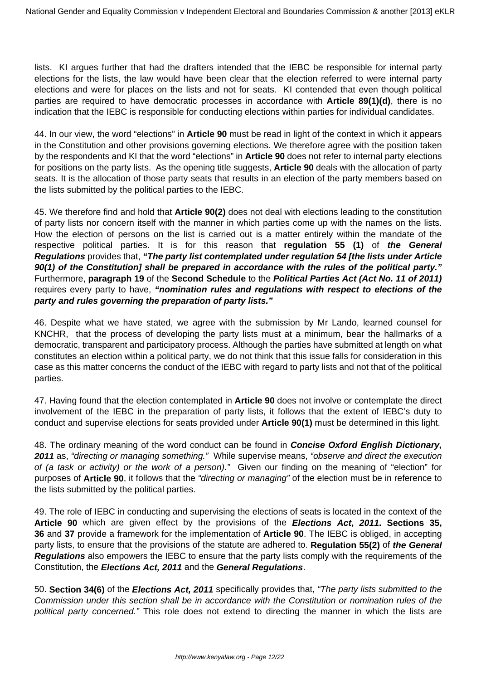lists. KI argues further that had the drafters intended that the IEBC be responsible for internal party elections for the lists, the law would have been clear that the election referred to were internal party elections and were for places on the lists and not for seats. KI contended that even though political parties are required to have democratic processes in accordance with **Article 89(1)(d)**, there is no indication that the IEBC is responsible for conducting elections within parties for individual candidates.

44. In our view, the word "elections" in **Article 90** must be read in light of the context in which it appears in the Constitution and other provisions governing elections. We therefore agree with the position taken by the respondents and KI that the word "elections" in **Article 90** does not refer to internal party elections for positions on the party lists. As the opening title suggests, **Article 90** deals with the allocation of party seats. It is the allocation of those party seats that results in an election of the party members based on the lists submitted by the political parties to the IEBC.

45. We therefore find and hold that **Article 90(2)** does not deal with elections leading to the constitution of party lists nor concern itself with the manner in which parties come up with the names on the lists. How the election of persons on the list is carried out is a matter entirely within the mandate of the respective political parties. It is for this reason that **regulation 55 (1)** of **the General Regulations** provides that, **"The party list contemplated under regulation 54 [the lists under Article 90(1) of the Constitution] shall be prepared in accordance with the rules of the political party."** Furthermore, **paragraph 19** of the **Second Schedule** to the **Political Parties Act (Act No. 11 of 2011)** requires every party to have, **"nomination rules and regulations with respect to elections of the party and rules governing the preparation of party lists."** 

46. Despite what we have stated, we agree with the submission by Mr Lando, learned counsel for KNCHR, that the process of developing the party lists must at a minimum, bear the hallmarks of a democratic, transparent and participatory process. Although the parties have submitted at length on what constitutes an election within a political party, we do not think that this issue falls for consideration in this case as this matter concerns the conduct of the IEBC with regard to party lists and not that of the political parties.

47. Having found that the election contemplated in **Article 90** does not involve or contemplate the direct involvement of the IEBC in the preparation of party lists, it follows that the extent of IEBC's duty to conduct and supervise elections for seats provided under **Article 90(1)** must be determined in this light.

48. The ordinary meaning of the word conduct can be found in **Concise Oxford English Dictionary, 2011** as, "directing or managing something." While supervise means, "observe and direct the execution of (a task or activity) or the work of a person)." Given our finding on the meaning of "election" for purposes of **Article 90**, it follows that the "directing or managing" of the election must be in reference to the lists submitted by the political parties.

49. The role of IEBC in conducting and supervising the elections of seats is located in the context of the **Article 90** which are given effect by the provisions of the **Elections Act, 2011. Sections 35, 36** and **37** provide a framework for the implementation of **Article 90**. The IEBC is obliged, in accepting party lists, to ensure that the provisions of the statute are adhered to. **Regulation 55(2)** of **the General Regulations** also empowers the IEBC to ensure that the party lists comply with the requirements of the Constitution, the **Elections Act, 2011** and the **General Regulations**.

50. **Section 34(6)** of the **Elections Act, 2011** specifically provides that, "The party lists submitted to the Commission under this section shall be in accordance with the Constitution or nomination rules of the political party concerned." This role does not extend to directing the manner in which the lists are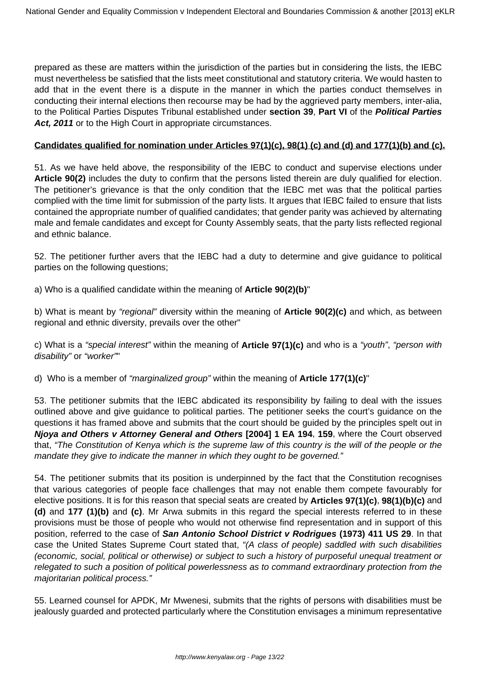prepared as these are matters within the jurisdiction of the parties but in considering the lists, the IEBC must nevertheless be satisfied that the lists meet constitutional and statutory criteria. We would hasten to add that in the event there is a dispute in the manner in which the parties conduct themselves in conducting their internal elections then recourse may be had by the aggrieved party members, inter-alia, to the Political Parties Disputes Tribunal established under **section 39**, **Part VI** of the **Political Parties** Act, 2011 or to the High Court in appropriate circumstances.

## **Candidates qualified for nomination under Articles 97(1)(c), 98(1) (c) and (d) and 177(1)(b) and (c).**

51. As we have held above, the responsibility of the IEBC to conduct and supervise elections under **Article 90(2)** includes the duty to confirm that the persons listed therein are duly qualified for election. The petitioner's grievance is that the only condition that the IEBC met was that the political parties complied with the time limit for submission of the party lists. It argues that IEBC failed to ensure that lists contained the appropriate number of qualified candidates; that gender parity was achieved by alternating male and female candidates and except for County Assembly seats, that the party lists reflected regional and ethnic balance.

52. The petitioner further avers that the IEBC had a duty to determine and give guidance to political parties on the following questions;

a) Who is a qualified candidate within the meaning of **Article 90(2)(b)**"

b) What is meant by "regional" diversity within the meaning of **Article 90(2)(c)** and which, as between regional and ethnic diversity, prevails over the other"

c) What is a "special interest" within the meaning of **Article 97(1)(c)** and who is a "youth", "person with disability" or "worker""

d) Who is a member of "marginalized group" within the meaning of **Article 177(1)(c)**"

53. The petitioner submits that the IEBC abdicated its responsibility by failing to deal with the issues outlined above and give guidance to political parties. The petitioner seeks the court's guidance on the questions it has framed above and submits that the court should be guided by the principles spelt out in **Njoya and Others v Attorney General and Others [2004] 1 EA 194**, **159**, where the Court observed that, "The Constitution of Kenya which is the supreme law of this country is the will of the people or the mandate they give to indicate the manner in which they ought to be governed."

54. The petitioner submits that its position is underpinned by the fact that the Constitution recognises that various categories of people face challenges that may not enable them compete favourably for elective positions. It is for this reason that special seats are created by **Articles 97(1)(c)**, **98(1)(b)(c)** and **(d)** and **177 (1)(b)** and **(c)**. Mr Arwa submits in this regard the special interests referred to in these provisions must be those of people who would not otherwise find representation and in support of this position, referred to the case of **San Antonio School District v Rodrigues (1973) 411 US 29**. In that case the United States Supreme Court stated that, "(A class of people) saddled with such disabilities (economic, social, political or otherwise) or subject to such a history of purposeful unequal treatment or relegated to such a position of political powerlessness as to command extraordinary protection from the majoritarian political process."

55. Learned counsel for APDK, Mr Mwenesi, submits that the rights of persons with disabilities must be jealously guarded and protected particularly where the Constitution envisages a minimum representative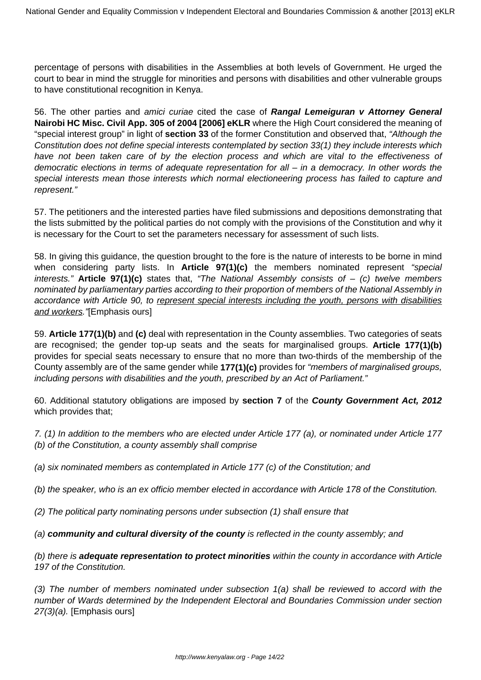percentage of persons with disabilities in the Assemblies at both levels of Government. He urged the court to bear in mind the struggle for minorities and persons with disabilities and other vulnerable groups to have constitutional recognition in Kenya.

56. The other parties and amici curiae cited the case of **Rangal Lemeiguran v Attorney General Nairobi HC Misc. Civil App. 305 of 2004 [2006] eKLR** where the High Court considered the meaning of "special interest group" in light of **section 33** of the former Constitution and observed that, "Although the Constitution does not define special interests contemplated by section 33(1) they include interests which have not been taken care of by the election process and which are vital to the effectiveness of democratic elections in terms of adequate representation for all – in a democracy. In other words the special interests mean those interests which normal electioneering process has failed to capture and represent."

57. The petitioners and the interested parties have filed submissions and depositions demonstrating that the lists submitted by the political parties do not comply with the provisions of the Constitution and why it is necessary for the Court to set the parameters necessary for assessment of such lists.

58. In giving this guidance, the question brought to the fore is the nature of interests to be borne in mind when considering party lists. In **Article 97(1)(c)** the members nominated represent "special interests." **Article 97(1)(c)** states that, "The National Assembly consists of – (c) twelve members nominated by parliamentary parties according to their proportion of members of the National Assembly in accordance with Article 90, to represent special interests including the youth, persons with disabilities and workers. [Emphasis ours]

59. **Article 177(1)(b)** and **(c)** deal with representation in the County assemblies. Two categories of seats are recognised; the gender top-up seats and the seats for marginalised groups. **Article 177(1)(b)** provides for special seats necessary to ensure that no more than two-thirds of the membership of the County assembly are of the same gender while **177(1)(c)** provides for "members of marginalised groups, including persons with disabilities and the youth, prescribed by an Act of Parliament."

60. Additional statutory obligations are imposed by **section 7** of the **County Government Act, 2012** which provides that;

7. (1) In addition to the members who are elected under Article 177 (a), or nominated under Article 177 (b) of the Constitution, a county assembly shall comprise

(a) six nominated members as contemplated in Article 177 (c) of the Constitution; and

(b) the speaker, who is an ex officio member elected in accordance with Article 178 of the Constitution.

(2) The political party nominating persons under subsection (1) shall ensure that

(a) **community and cultural diversity of the county** is reflected in the county assembly; and

(b) there is **adequate representation to protect minorities** within the county in accordance with Article 197 of the Constitution.

(3) The number of members nominated under subsection 1(a) shall be reviewed to accord with the number of Wards determined by the Independent Electoral and Boundaries Commission under section 27(3)(a). [Emphasis ours]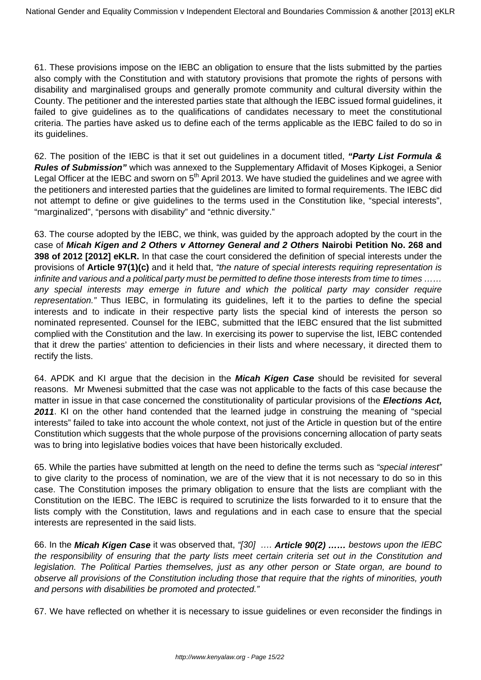61. These provisions impose on the IEBC an obligation to ensure that the lists submitted by the parties also comply with the Constitution and with statutory provisions that promote the rights of persons with disability and marginalised groups and generally promote community and cultural diversity within the County. The petitioner and the interested parties state that although the IEBC issued formal guidelines, it failed to give guidelines as to the qualifications of candidates necessary to meet the constitutional criteria. The parties have asked us to define each of the terms applicable as the IEBC failed to do so in its guidelines.

62. The position of the IEBC is that it set out guidelines in a document titled, **"Party List Formula & Rules of Submission"** which was annexed to the Supplementary Affidavit of Moses Kipkogei, a Senior Legal Officer at the IEBC and sworn on  $5<sup>th</sup>$  April 2013. We have studied the quidelines and we agree with the petitioners and interested parties that the guidelines are limited to formal requirements. The IEBC did not attempt to define or give guidelines to the terms used in the Constitution like, "special interests", "marginalized", "persons with disability" and "ethnic diversity."

63. The course adopted by the IEBC, we think, was guided by the approach adopted by the court in the case of **Micah Kigen and 2 Others v Attorney General and 2 Others Nairobi Petition No. 268 and 398 of 2012 [2012] eKLR.** In that case the court considered the definition of special interests under the provisions of **Article 97(1)(c)** and it held that, "the nature of special interests requiring representation is infinite and various and a political party must be permitted to define those interests from time to times …… any special interests may emerge in future and which the political party may consider require representation." Thus IEBC, in formulating its guidelines, left it to the parties to define the special interests and to indicate in their respective party lists the special kind of interests the person so nominated represented. Counsel for the IEBC, submitted that the IEBC ensured that the list submitted complied with the Constitution and the law. In exercising its power to supervise the list, IEBC contended that it drew the parties' attention to deficiencies in their lists and where necessary, it directed them to rectify the lists.

64. APDK and KI argue that the decision in the **Micah Kigen Case** should be revisited for several reasons. Mr Mwenesi submitted that the case was not applicable to the facts of this case because the matter in issue in that case concerned the constitutionality of particular provisions of the **Elections Act, 2011**. KI on the other hand contended that the learned judge in construing the meaning of "special interests" failed to take into account the whole context, not just of the Article in question but of the entire Constitution which suggests that the whole purpose of the provisions concerning allocation of party seats was to bring into legislative bodies voices that have been historically excluded.

65. While the parties have submitted at length on the need to define the terms such as "special interest" to give clarity to the process of nomination, we are of the view that it is not necessary to do so in this case. The Constitution imposes the primary obligation to ensure that the lists are compliant with the Constitution on the IEBC. The IEBC is required to scrutinize the lists forwarded to it to ensure that the lists comply with the Constitution, laws and regulations and in each case to ensure that the special interests are represented in the said lists.

66. In the **Micah Kigen Case** it was observed that, "[30] …. **Article 90(2) ……** bestows upon the IEBC the responsibility of ensuring that the party lists meet certain criteria set out in the Constitution and legislation. The Political Parties themselves, just as any other person or State organ, are bound to observe all provisions of the Constitution including those that require that the rights of minorities, youth and persons with disabilities be promoted and protected."

67. We have reflected on whether it is necessary to issue guidelines or even reconsider the findings in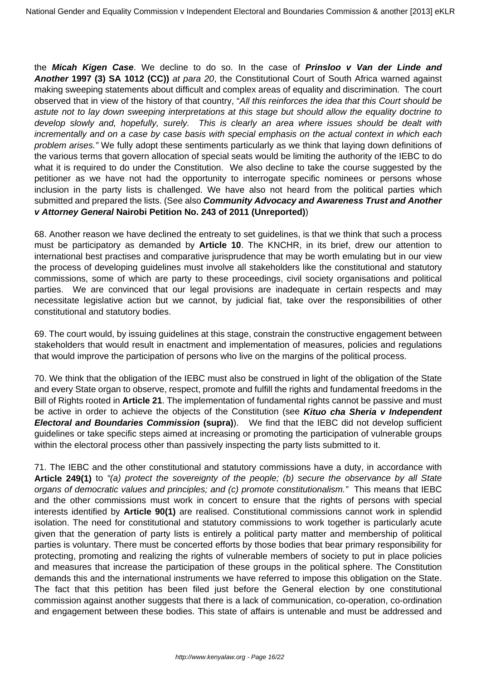the **Micah Kigen Case**. We decline to do so. In the case of **Prinsloo v Van der Linde and Another 1997 (3) SA 1012 (CC))** at para 20, the Constitutional Court of South Africa warned against making sweeping statements about difficult and complex areas of equality and discrimination. The court observed that in view of the history of that country, "All this reinforces the idea that this Court should be astute not to lay down sweeping interpretations at this stage but should allow the equality doctrine to develop slowly and, hopefully, surely. This is clearly an area where issues should be dealt with incrementally and on a case by case basis with special emphasis on the actual context in which each problem arises." We fully adopt these sentiments particularly as we think that laying down definitions of the various terms that govern allocation of special seats would be limiting the authority of the IEBC to do what it is required to do under the Constitution. We also decline to take the course suggested by the petitioner as we have not had the opportunity to interrogate specific nominees or persons whose inclusion in the party lists is challenged. We have also not heard from the political parties which submitted and prepared the lists. (See also **Community Advocacy and Awareness Trust and Another v Attorney General Nairobi Petition No. 243 of 2011 (Unreported)**)

68. Another reason we have declined the entreaty to set guidelines, is that we think that such a process must be participatory as demanded by **Article 10**. The KNCHR, in its brief, drew our attention to international best practises and comparative jurisprudence that may be worth emulating but in our view the process of developing guidelines must involve all stakeholders like the constitutional and statutory commissions, some of which are party to these proceedings, civil society organisations and political parties. We are convinced that our legal provisions are inadequate in certain respects and may necessitate legislative action but we cannot, by judicial fiat, take over the responsibilities of other constitutional and statutory bodies.

69. The court would, by issuing guidelines at this stage, constrain the constructive engagement between stakeholders that would result in enactment and implementation of measures, policies and regulations that would improve the participation of persons who live on the margins of the political process.

70. We think that the obligation of the IEBC must also be construed in light of the obligation of the State and every State organ to observe, respect, promote and fulfill the rights and fundamental freedoms in the Bill of Rights rooted in **Article 21**. The implementation of fundamental rights cannot be passive and must be active in order to achieve the objects of the Constitution (see **Kituo cha Sheria v Independent Electoral and Boundaries Commission (supra)**). We find that the IEBC did not develop sufficient guidelines or take specific steps aimed at increasing or promoting the participation of vulnerable groups within the electoral process other than passively inspecting the party lists submitted to it.

71. The IEBC and the other constitutional and statutory commissions have a duty, in accordance with **Article 249(1)** to "(a) protect the sovereignty of the people; (b) secure the observance by all State organs of democratic values and principles; and (c) promote constitutionalism." This means that IEBC and the other commissions must work in concert to ensure that the rights of persons with special interests identified by **Article 90(1)** are realised. Constitutional commissions cannot work in splendid isolation. The need for constitutional and statutory commissions to work together is particularly acute given that the generation of party lists is entirely a political party matter and membership of political parties is voluntary. There must be concerted efforts by those bodies that bear primary responsibility for protecting, promoting and realizing the rights of vulnerable members of society to put in place policies and measures that increase the participation of these groups in the political sphere. The Constitution demands this and the international instruments we have referred to impose this obligation on the State. The fact that this petition has been filed just before the General election by one constitutional commission against another suggests that there is a lack of communication, co-operation, co-ordination and engagement between these bodies. This state of affairs is untenable and must be addressed and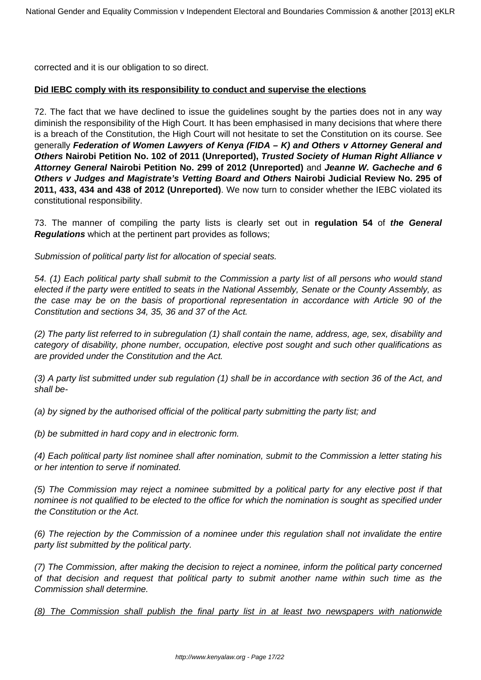corrected and it is our obligation to so direct.

## **Did IEBC comply with its responsibility to conduct and supervise the elections**

72. The fact that we have declined to issue the guidelines sought by the parties does not in any way diminish the responsibility of the High Court. It has been emphasised in many decisions that where there is a breach of the Constitution, the High Court will not hesitate to set the Constitution on its course. See generally **Federation of Women Lawyers of Kenya (FIDA – K) and Others v Attorney General and Others Nairobi Petition No. 102 of 2011 (Unreported), Trusted Society of Human Right Alliance v Attorney General Nairobi Petition No. 299 of 2012 (Unreported)** and **Jeanne W. Gacheche and 6 Others v Judges and Magistrate's Vetting Board and Others Nairobi Judicial Review No. 295 of 2011, 433, 434 and 438 of 2012 (Unreported)**. We now turn to consider whether the IEBC violated its constitutional responsibility.

73. The manner of compiling the party lists is clearly set out in **regulation 54** of **the General Regulations** which at the pertinent part provides as follows;

Submission of political party list for allocation of special seats.

54. (1) Each political party shall submit to the Commission a party list of all persons who would stand elected if the party were entitled to seats in the National Assembly, Senate or the County Assembly, as the case may be on the basis of proportional representation in accordance with Article 90 of the Constitution and sections 34, 35, 36 and 37 of the Act.

(2) The party list referred to in subregulation (1) shall contain the name, address, age, sex, disability and category of disability, phone number, occupation, elective post sought and such other qualifications as are provided under the Constitution and the Act.

(3) A party list submitted under sub regulation (1) shall be in accordance with section 36 of the Act, and shall be-

(a) by signed by the authorised official of the political party submitting the party list; and

(b) be submitted in hard copy and in electronic form.

(4) Each political party list nominee shall after nomination, submit to the Commission a letter stating his or her intention to serve if nominated.

(5) The Commission may reject a nominee submitted by a political party for any elective post if that nominee is not qualified to be elected to the office for which the nomination is sought as specified under the Constitution or the Act.

(6) The rejection by the Commission of a nominee under this regulation shall not invalidate the entire party list submitted by the political party.

(7) The Commission, after making the decision to reject a nominee, inform the political party concerned of that decision and request that political party to submit another name within such time as the Commission shall determine.

(8) The Commission shall publish the final party list in at least two newspapers with nationwide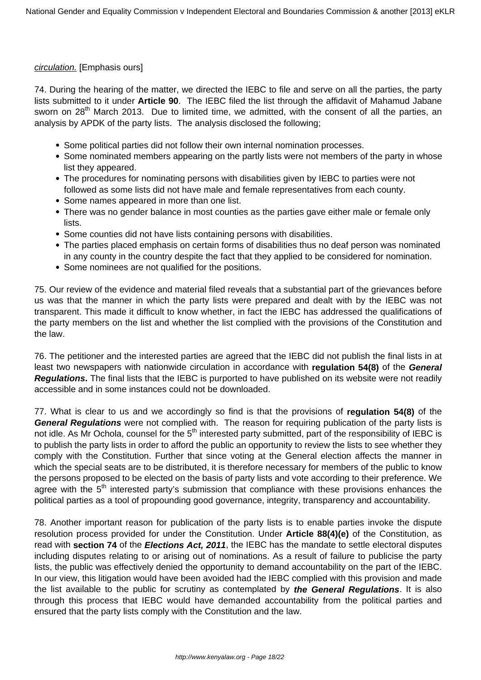## circulation. [Emphasis ours]

74. During the hearing of the matter, we directed the IEBC to file and serve on all the parties, the party lists submitted to it under **Article 90**. The IEBC filed the list through the affidavit of Mahamud Jabane sworn on 28<sup>th</sup> March 2013. Due to limited time, we admitted, with the consent of all the parties, an analysis by APDK of the party lists. The analysis disclosed the following;

- Some political parties did not follow their own internal nomination processes.
- Some nominated members appearing on the partly lists were not members of the party in whose list they appeared.
- The procedures for nominating persons with disabilities given by IEBC to parties were not followed as some lists did not have male and female representatives from each county.
- Some names appeared in more than one list.
- There was no gender balance in most counties as the parties gave either male or female only lists.
- Some counties did not have lists containing persons with disabilities.
- The parties placed emphasis on certain forms of disabilities thus no deaf person was nominated in any county in the country despite the fact that they applied to be considered for nomination.
- Some nominees are not qualified for the positions.

75. Our review of the evidence and material filed reveals that a substantial part of the grievances before us was that the manner in which the party lists were prepared and dealt with by the IEBC was not transparent. This made it difficult to know whether, in fact the IEBC has addressed the qualifications of the party members on the list and whether the list complied with the provisions of the Constitution and the law.

76. The petitioner and the interested parties are agreed that the IEBC did not publish the final lists in at least two newspapers with nationwide circulation in accordance with **regulation 54(8)** of the **General Regulations.** The final lists that the IEBC is purported to have published on its website were not readily accessible and in some instances could not be downloaded.

77. What is clear to us and we accordingly so find is that the provisions of **regulation 54(8)** of the **General Regulations** were not complied with. The reason for requiring publication of the party lists is not idle. As Mr Ochola, counsel for the 5<sup>th</sup> interested party submitted, part of the responsibility of IEBC is to publish the party lists in order to afford the public an opportunity to review the lists to see whether they comply with the Constitution. Further that since voting at the General election affects the manner in which the special seats are to be distributed, it is therefore necessary for members of the public to know the persons proposed to be elected on the basis of party lists and vote according to their preference. We agree with the 5<sup>th</sup> interested party's submission that compliance with these provisions enhances the political parties as a tool of propounding good governance, integrity, transparency and accountability.

78. Another important reason for publication of the party lists is to enable parties invoke the dispute resolution process provided for under the Constitution. Under **Article 88(4)(e)** of the Constitution, as read with **section 74** of the **Elections Act, 2011**, the IEBC has the mandate to settle electoral disputes including disputes relating to or arising out of nominations. As a result of failure to publicise the party lists, the public was effectively denied the opportunity to demand accountability on the part of the IEBC. In our view, this litigation would have been avoided had the IEBC complied with this provision and made the list available to the public for scrutiny as contemplated by **the General Regulations**. It is also through this process that IEBC would have demanded accountability from the political parties and ensured that the party lists comply with the Constitution and the law.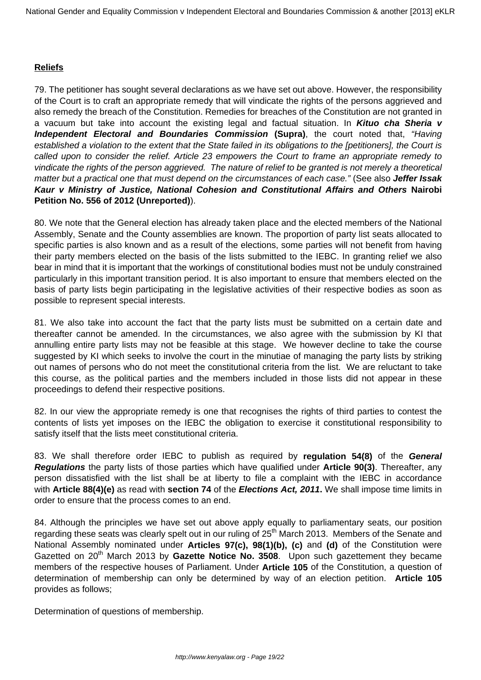## **Reliefs**

79. The petitioner has sought several declarations as we have set out above. However, the responsibility of the Court is to craft an appropriate remedy that will vindicate the rights of the persons aggrieved and also remedy the breach of the Constitution. Remedies for breaches of the Constitution are not granted in a vacuum but take into account the existing legal and factual situation. In **Kituo cha Sheria v Independent Electoral and Boundaries Commission (Supra)**, the court noted that, "Having established a violation to the extent that the State failed in its obligations to the [petitioners], the Court is called upon to consider the relief. Article 23 empowers the Court to frame an appropriate remedy to vindicate the rights of the person aggrieved. The nature of relief to be granted is not merely a theoretical matter but a practical one that must depend on the circumstances of each case." (See also **Jeffer Issak Kaur v Ministry of Justice, National Cohesion and Constitutional Affairs and Others Nairobi Petition No. 556 of 2012 (Unreported)**).

80. We note that the General election has already taken place and the elected members of the National Assembly, Senate and the County assemblies are known. The proportion of party list seats allocated to specific parties is also known and as a result of the elections, some parties will not benefit from having their party members elected on the basis of the lists submitted to the IEBC. In granting relief we also bear in mind that it is important that the workings of constitutional bodies must not be unduly constrained particularly in this important transition period. It is also important to ensure that members elected on the basis of party lists begin participating in the legislative activities of their respective bodies as soon as possible to represent special interests.

81. We also take into account the fact that the party lists must be submitted on a certain date and thereafter cannot be amended. In the circumstances, we also agree with the submission by KI that annulling entire party lists may not be feasible at this stage. We however decline to take the course suggested by KI which seeks to involve the court in the minutiae of managing the party lists by striking out names of persons who do not meet the constitutional criteria from the list. We are reluctant to take this course, as the political parties and the members included in those lists did not appear in these proceedings to defend their respective positions.

82. In our view the appropriate remedy is one that recognises the rights of third parties to contest the contents of lists yet imposes on the IEBC the obligation to exercise it constitutional responsibility to satisfy itself that the lists meet constitutional criteria.

83. We shall therefore order IEBC to publish as required by **regulation 54(8)** of the **General Regulations** the party lists of those parties which have qualified under **Article 90(3)**. Thereafter, any person dissatisfied with the list shall be at liberty to file a complaint with the IEBC in accordance with **Article 88(4)(e)** as read with **section 74** of the **Elections Act, 2011.** We shall impose time limits in order to ensure that the process comes to an end.

84. Although the principles we have set out above apply equally to parliamentary seats, our position regarding these seats was clearly spelt out in our ruling of 25<sup>th</sup> March 2013. Members of the Senate and National Assembly nominated under **Articles 97(c), 98(1)(b), (c)** and **(d)** of the Constitution were Gazetted on 20<sup>th</sup> March 2013 by **Gazette Notice No. 3508**. Upon such gazettement they became members of the respective houses of Parliament. Under **Article 105** of the Constitution, a question of determination of membership can only be determined by way of an election petition. **Article 105** provides as follows;

Determination of questions of membership.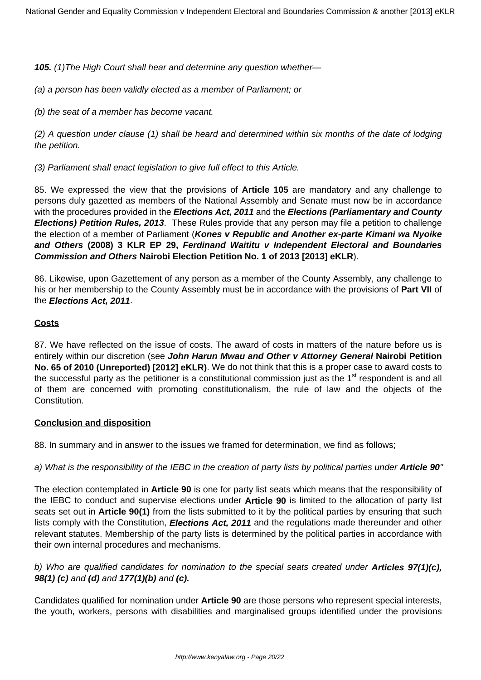**105.** (1)The High Court shall hear and determine any question whether—

(a) a person has been validly elected as a member of Parliament; or

(b) the seat of a member has become vacant.

(2) A question under clause (1) shall be heard and determined within six months of the date of lodging the petition.

(3) Parliament shall enact legislation to give full effect to this Article.

85. We expressed the view that the provisions of **Article 105** are mandatory and any challenge to persons duly gazetted as members of the National Assembly and Senate must now be in accordance with the procedures provided in the **Elections Act, 2011** and the **Elections (Parliamentary and County Elections) Petition Rules, 2013**. These Rules provide that any person may file a petition to challenge the election of a member of Parliament (**Kones v Republic and Another ex-parte Kimani wa Nyoike and Others (2008) 3 KLR EP 29, Ferdinand Waititu v Independent Electoral and Boundaries Commission and Others Nairobi Election Petition No. 1 of 2013 [2013] eKLR**).

86. Likewise, upon Gazettement of any person as a member of the County Assembly, any challenge to his or her membership to the County Assembly must be in accordance with the provisions of **Part VII** of the **Elections Act, 2011**.

#### **Costs**

87. We have reflected on the issue of costs. The award of costs in matters of the nature before us is entirely within our discretion (see **John Harun Mwau and Other v Attorney General Nairobi Petition No. 65 of 2010 (Unreported) [2012] eKLR)**. We do not think that this is a proper case to award costs to the successful party as the petitioner is a constitutional commission just as the 1<sup>st</sup> respondent is and all of them are concerned with promoting constitutionalism, the rule of law and the objects of the Constitution.

#### **Conclusion and disposition**

88. In summary and in answer to the issues we framed for determination, we find as follows;

## a) What is the responsibility of the IEBC in the creation of party lists by political parties under **Article 90**"

The election contemplated in **Article 90** is one for party list seats which means that the responsibility of the IEBC to conduct and supervise elections under **Article 90** is limited to the allocation of party list seats set out in **Article 90(1)** from the lists submitted to it by the political parties by ensuring that such lists comply with the Constitution, **Elections Act, 2011** and the regulations made thereunder and other relevant statutes. Membership of the party lists is determined by the political parties in accordance with their own internal procedures and mechanisms.

## b) Who are qualified candidates for nomination to the special seats created under **Articles 97(1)(c), 98(1) (c)** and **(d)** and **177(1)(b)** and **(c).**

Candidates qualified for nomination under **Article 90** are those persons who represent special interests, the youth, workers, persons with disabilities and marginalised groups identified under the provisions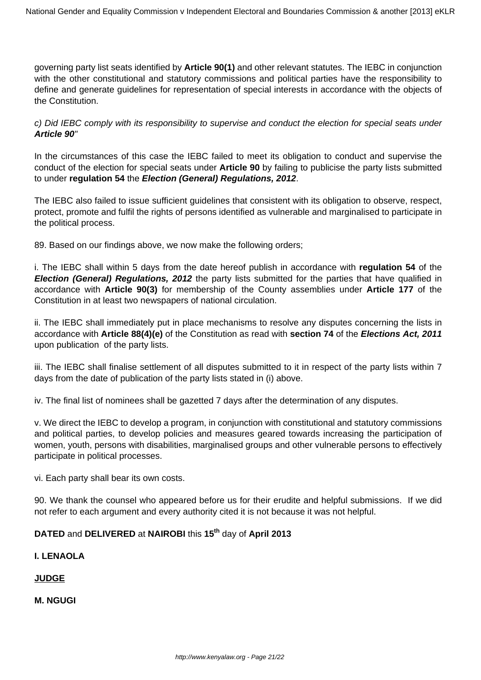governing party list seats identified by **Article 90(1)** and other relevant statutes. The IEBC in conjunction with the other constitutional and statutory commissions and political parties have the responsibility to define and generate guidelines for representation of special interests in accordance with the objects of the Constitution.

c) Did IEBC comply with its responsibility to supervise and conduct the election for special seats under **Article 90**"

In the circumstances of this case the IEBC failed to meet its obligation to conduct and supervise the conduct of the election for special seats under **Article 90** by failing to publicise the party lists submitted to under **regulation 54** the **Election (General) Regulations, 2012**.

The IEBC also failed to issue sufficient guidelines that consistent with its obligation to observe, respect, protect, promote and fulfil the rights of persons identified as vulnerable and marginalised to participate in the political process.

89. Based on our findings above, we now make the following orders;

i. The IEBC shall within 5 days from the date hereof publish in accordance with **regulation 54** of the **Election (General) Regulations, 2012** the party lists submitted for the parties that have qualified in accordance with **Article 90(3)** for membership of the County assemblies under **Article 177** of the Constitution in at least two newspapers of national circulation.

ii. The IEBC shall immediately put in place mechanisms to resolve any disputes concerning the lists in accordance with **Article 88(4)(e)** of the Constitution as read with **section 74** of the **Elections Act, 2011** upon publication of the party lists.

iii. The IEBC shall finalise settlement of all disputes submitted to it in respect of the party lists within 7 days from the date of publication of the party lists stated in (i) above.

iv. The final list of nominees shall be gazetted 7 days after the determination of any disputes.

v. We direct the IEBC to develop a program, in conjunction with constitutional and statutory commissions and political parties, to develop policies and measures geared towards increasing the participation of women, youth, persons with disabilities, marginalised groups and other vulnerable persons to effectively participate in political processes.

vi. Each party shall bear its own costs.

90. We thank the counsel who appeared before us for their erudite and helpful submissions. If we did not refer to each argument and every authority cited it is not because it was not helpful.

# **DATED** and **DELIVERED** at **NAIROBI** this **15th** day of **April 2013**

# **I. LENAOLA**

# **JUDGE**

**M. NGUGI**